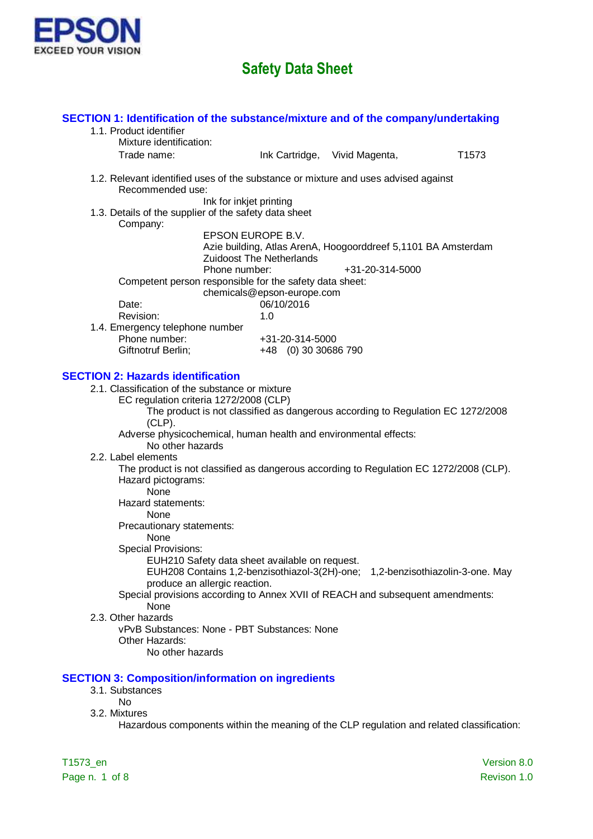

| SECTION 1: Identification of the substance/mixture and of the company/undertaking<br>1.1. Product identifier<br>Mixture identification: |                                                                                                                                                                 |                               |                   |
|-----------------------------------------------------------------------------------------------------------------------------------------|-----------------------------------------------------------------------------------------------------------------------------------------------------------------|-------------------------------|-------------------|
| Trade name:                                                                                                                             |                                                                                                                                                                 | Ink Cartridge, Vivid Magenta, | T <sub>1573</sub> |
| 1.2. Relevant identified uses of the substance or mixture and uses advised against<br>Recommended use:                                  |                                                                                                                                                                 |                               |                   |
| 1.3. Details of the supplier of the safety data sheet<br>Company:                                                                       | Ink for inkjet printing                                                                                                                                         |                               |                   |
|                                                                                                                                         | EPSON EUROPE B.V.<br>Azie building, Atlas ArenA, Hoogoorddreef 5,1101 BA Amsterdam<br><b>Zuidoost The Netherlands</b>                                           |                               |                   |
|                                                                                                                                         | Phone number:<br>Competent person responsible for the safety data sheet:<br>chemicals@epson-europe.com                                                          | +31-20-314-5000               |                   |
| Date:<br>Revision:                                                                                                                      | 06/10/2016<br>1.0                                                                                                                                               |                               |                   |
| 1.4. Emergency telephone number<br>Phone number:<br>Giftnotruf Berlin;                                                                  | +31-20-314-5000<br>+48 (0) 30 30686 790                                                                                                                         |                               |                   |
| <b>SECTION 2: Hazards identification</b>                                                                                                |                                                                                                                                                                 |                               |                   |
| 2.1. Classification of the substance or mixture<br>EC regulation criteria 1272/2008 (CLP)<br>$(CLP)$ .                                  | The product is not classified as dangerous according to Regulation EC 1272/2008                                                                                 |                               |                   |
| No other hazards                                                                                                                        | Adverse physicochemical, human health and environmental effects:                                                                                                |                               |                   |
| 2.2. Label elements<br>Hazard pictograms:<br>None                                                                                       | The product is not classified as dangerous according to Regulation EC 1272/2008 (CLP).                                                                          |                               |                   |
| Hazard statements:<br><b>None</b><br>Precautionary statements:                                                                          |                                                                                                                                                                 |                               |                   |
| None<br><b>Special Provisions:</b>                                                                                                      | EUH210 Safety data sheet available on request.                                                                                                                  |                               |                   |
| produce an allergic reaction.                                                                                                           | EUH208 Contains 1,2-benzisothiazol-3(2H)-one; 1,2-benzisothiazolin-3-one. May<br>Special provisions according to Annex XVII of REACH and subsequent amendments: |                               |                   |
| None<br>2.3. Other hazards<br>Other Hazards:<br>No other hazards                                                                        | vPvB Substances: None - PBT Substances: None                                                                                                                    |                               |                   |
| <b>SECTION 3: Composition/information on ingredients</b><br>3.1. Substances                                                             |                                                                                                                                                                 |                               |                   |
| <b>No</b><br>3.2. Mixtures                                                                                                              | Hazardous components within the meaning of the CLP regulation and related classification:                                                                       |                               |                   |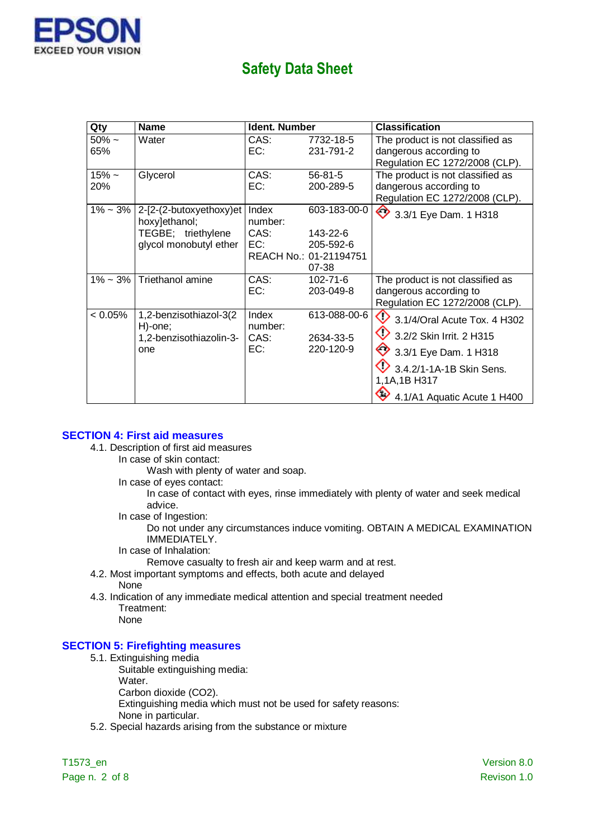

| Qty                   | <b>Name</b>                                                                              | <b>Ident. Number</b>            |                                                                          | <b>Classification</b>                                                                                                                                        |
|-----------------------|------------------------------------------------------------------------------------------|---------------------------------|--------------------------------------------------------------------------|--------------------------------------------------------------------------------------------------------------------------------------------------------------|
| $50\% \sim$<br>65%    | Water                                                                                    | CAS:<br>EC:                     | 7732-18-5<br>231-791-2                                                   | The product is not classified as<br>dangerous according to<br>Regulation EC 1272/2008 (CLP).                                                                 |
| $15% -$<br><b>20%</b> | Glycerol                                                                                 | CAS:<br>EC:                     | $56 - 81 - 5$<br>200-289-5                                               | The product is not classified as<br>dangerous according to<br>Regulation EC 1272/2008 (CLP).                                                                 |
| $1\% - 3\%$           | 2-[2-(2-butoxyethoxy)et<br>hoxy]ethanol;<br>TEGBE; triethylene<br>glycol monobutyl ether | Index<br>number:<br>CAS:<br>EC: | 603-183-00-0<br>143-22-6<br>205-592-6<br>REACH No.: 01-21194751<br>07-38 | ◇<br>3.3/1 Eye Dam. 1 H318                                                                                                                                   |
| 1% ~ 3%               | Triethanol amine                                                                         | CAS:<br>EC:                     | 102-71-6<br>203-049-8                                                    | The product is not classified as<br>dangerous according to<br>Regulation EC 1272/2008 (CLP).                                                                 |
| $< 0.05\%$            | 1,2-benzisothiazol-3(2<br>H)-one;<br>1,2-benzisothiazolin-3-<br>one                      | Index<br>number:<br>CAS:<br>EC: | 613-088-00-6<br>2634-33-5<br>220-120-9                                   | 3.1/4/Oral Acute Tox. 4 H302<br>3.2/2 Skin Irrit. 2 H315<br>3.3/1 Eye Dam. 1 H318<br>3.4.2/1-1A-1B Skin Sens.<br>1,1A,1B H317<br>4.1/A1 Aquatic Acute 1 H400 |

#### **SECTION 4: First aid measures**

- 4.1. Description of first aid measures
	- In case of skin contact:
		- Wash with plenty of water and soap.
		- In case of eyes contact:

In case of contact with eyes, rinse immediately with plenty of water and seek medical advice.

In case of Ingestion:

Do not under any circumstances induce vomiting. OBTAIN A MEDICAL EXAMINATION IMMEDIATELY.

- In case of Inhalation:
	- Remove casualty to fresh air and keep warm and at rest.
- 4.2. Most important symptoms and effects, both acute and delayed None
- 4.3. Indication of any immediate medical attention and special treatment needed Treatment: None

#### **SECTION 5: Firefighting measures**

- 5.1. Extinguishing media
	- Suitable extinguishing media:
		- Water.
		- Carbon dioxide (CO2).
		- Extinguishing media which must not be used for safety reasons:
		- None in particular.
- 5.2. Special hazards arising from the substance or mixture

Page n. 2 of 8 Revison 1.0

T1573\_en Version 8.0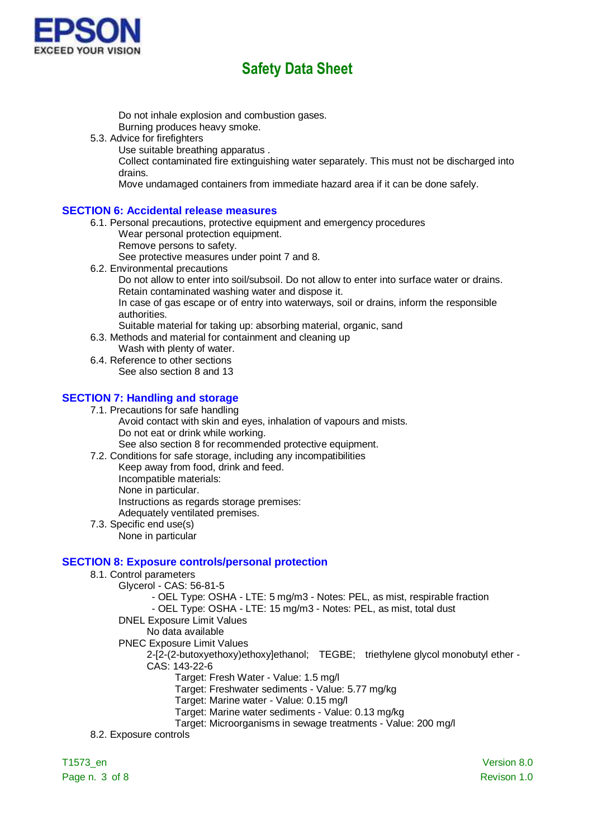

Do not inhale explosion and combustion gases.

Burning produces heavy smoke.

- 5.3. Advice for firefighters
	- Use suitable breathing apparatus .

Collect contaminated fire extinguishing water separately. This must not be discharged into drains.

Move undamaged containers from immediate hazard area if it can be done safely.

### **SECTION 6: Accidental release measures**

- 6.1. Personal precautions, protective equipment and emergency procedures Wear personal protection equipment.
	- Remove persons to safety.

See protective measures under point 7 and 8.

6.2. Environmental precautions Do not allow to enter into soil/subsoil. Do not allow to enter into surface water or drains. Retain contaminated washing water and dispose it. In case of gas escape or of entry into waterways, soil or drains, inform the responsible authorities.

Suitable material for taking up: absorbing material, organic, sand

- 6.3. Methods and material for containment and cleaning up Wash with plenty of water.
- 6.4. Reference to other sections See also section 8 and 13

### **SECTION 7: Handling and storage**

7.1. Precautions for safe handling

Avoid contact with skin and eyes, inhalation of vapours and mists. Do not eat or drink while working.

See also section 8 for recommended protective equipment.

7.2. Conditions for safe storage, including any incompatibilities

- Keep away from food, drink and feed. Incompatible materials: None in particular. Instructions as regards storage premises: Adequately ventilated premises.
- 7.3. Specific end use(s) None in particular

### **SECTION 8: Exposure controls/personal protection**

- 8.1. Control parameters
	- Glycerol CAS: 56-81-5
		- OEL Type: OSHA LTE: 5 mg/m3 Notes: PEL, as mist, respirable fraction

- OEL Type: OSHA - LTE: 15 mg/m3 - Notes: PEL, as mist, total dust

- DNEL Exposure Limit Values
	- No data available
- PNEC Exposure Limit Values

2-[2-(2-butoxyethoxy)ethoxy]ethanol; TEGBE; triethylene glycol monobutyl ether - CAS: 143-22-6

Target: Fresh Water - Value: 1.5 mg/l

Target: Freshwater sediments - Value: 5.77 mg/kg

Target: Marine water - Value: 0.15 mg/l

Target: Marine water sediments - Value: 0.13 mg/kg

Target: Microorganisms in sewage treatments - Value: 200 mg/l

8.2. Exposure controls

Page n. 3 of 8 Revison 1.0

T1573\_en Version 8.0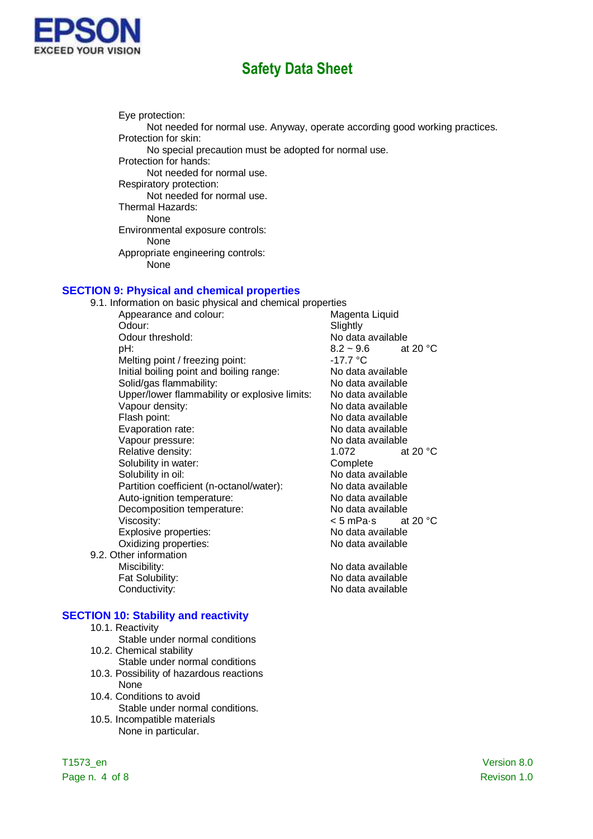

Eye protection: Not needed for normal use. Anyway, operate according good working practices. Protection for skin: No special precaution must be adopted for normal use. Protection for hands: Not needed for normal use. Respiratory protection: Not needed for normal use. Thermal Hazards: None Environmental exposure controls: None Appropriate engineering controls: None

### **SECTION 9: Physical and chemical properties**

| 9.1. Information on basic physical and chemical properties |                                   |  |
|------------------------------------------------------------|-----------------------------------|--|
| Appearance and colour:                                     | Magenta Liquid                    |  |
| Odour:                                                     | Slightly                          |  |
| Odour threshold:                                           | No data available                 |  |
| pH:                                                        | $8.2 - 9.6$<br>at 20 $^{\circ}$ C |  |
| Melting point / freezing point:                            | -17.7 °C                          |  |
| Initial boiling point and boiling range:                   | No data available                 |  |
| Solid/gas flammability:                                    | No data available                 |  |
| Upper/lower flammability or explosive limits:              | No data available                 |  |
| Vapour density:                                            | No data available                 |  |
| Flash point:                                               | No data available                 |  |
| Evaporation rate:                                          | No data available                 |  |
| Vapour pressure:                                           | No data available                 |  |
| Relative density:                                          | 1.072<br>at 20 $^{\circ}$ C       |  |
| Solubility in water:                                       | Complete                          |  |
| Solubility in oil:                                         | No data available                 |  |
| Partition coefficient (n-octanol/water):                   | No data available                 |  |
| Auto-ignition temperature:                                 | No data available                 |  |
| Decomposition temperature:                                 | No data available                 |  |
| Viscosity:                                                 | at 20 $^{\circ}$ C<br>< 5 mPa•s   |  |
| Explosive properties:                                      | No data available                 |  |
| Oxidizing properties:                                      | No data available                 |  |
| 9.2. Other information                                     |                                   |  |
| Miscibility:                                               | No data available                 |  |
| Fat Solubility:                                            | No data available                 |  |
| Conductivity:                                              | No data available                 |  |

#### **SECTION 10: Stability and reactivity**

- 10.1. Reactivity
- Stable under normal conditions 10.2. Chemical stability
- Stable under normal conditions
- 10.3. Possibility of hazardous reactions None
- 10.4. Conditions to avoid Stable under normal conditions.
- 10.5. Incompatible materials None in particular.

Page n. 4 of 8 Revison 1.0

T1573\_en Version 8.0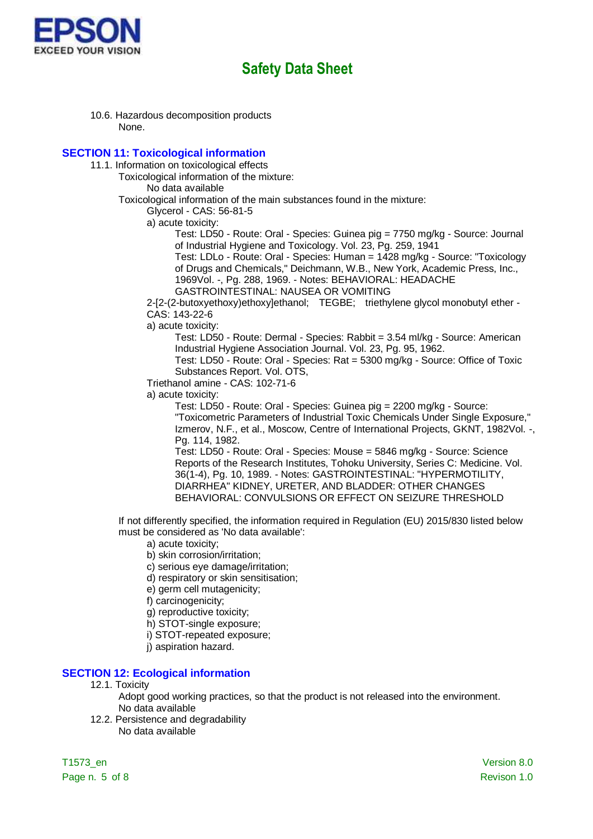

10.6. Hazardous decomposition products None.

#### **SECTION 11: Toxicological information**

- 11.1. Information on toxicological effects
	- Toxicological information of the mixture:

No data available

Toxicological information of the main substances found in the mixture:

Glycerol - CAS: 56-81-5

a) acute toxicity:

Test: LD50 - Route: Oral - Species: Guinea pig = 7750 mg/kg - Source: Journal of Industrial Hygiene and Toxicology. Vol. 23, Pg. 259, 1941

Test: LDLo - Route: Oral - Species: Human = 1428 mg/kg - Source: "Toxicology of Drugs and Chemicals," Deichmann, W.B., New York, Academic Press, Inc., 1969Vol. -, Pg. 288, 1969. - Notes: BEHAVIORAL: HEADACHE

GASTROINTESTINAL: NAUSEA OR VOMITING

2-[2-(2-butoxyethoxy)ethoxy]ethanol; TEGBE; triethylene glycol monobutyl ether - CAS: 143-22-6

a) acute toxicity:

Test: LD50 - Route: Dermal - Species: Rabbit = 3.54 ml/kg - Source: American Industrial Hygiene Association Journal. Vol. 23, Pg. 95, 1962.

Test: LD50 - Route: Oral - Species: Rat = 5300 mg/kg - Source: Office of Toxic Substances Report. Vol. OTS,

Triethanol amine - CAS: 102-71-6

a) acute toxicity:

Test: LD50 - Route: Oral - Species: Guinea pig = 2200 mg/kg - Source: "Toxicometric Parameters of Industrial Toxic Chemicals Under Single Exposure," Izmerov, N.F., et al., Moscow, Centre of International Projects, GKNT, 1982Vol. -, Pg. 114, 1982.

Test: LD50 - Route: Oral - Species: Mouse = 5846 mg/kg - Source: Science Reports of the Research Institutes, Tohoku University, Series C: Medicine. Vol. 36(1-4), Pg. 10, 1989. - Notes: GASTROINTESTINAL: "HYPERMOTILITY, DIARRHEA" KIDNEY, URETER, AND BLADDER: OTHER CHANGES BEHAVIORAL: CONVULSIONS OR EFFECT ON SEIZURE THRESHOLD

If not differently specified, the information required in Regulation (EU) 2015/830 listed below must be considered as 'No data available':

- a) acute toxicity;
- b) skin corrosion/irritation;
- c) serious eye damage/irritation;
- d) respiratory or skin sensitisation;
- e) germ cell mutagenicity;
- f) carcinogenicity;
- g) reproductive toxicity;
- h) STOT-single exposure;
- i) STOT-repeated exposure;
- j) aspiration hazard.

### **SECTION 12: Ecological information**

- 12.1. Toxicity
	- Adopt good working practices, so that the product is not released into the environment. No data available
- 12.2. Persistence and degradability No data available

T1573\_en Version 8.0 Page n. 5 of 8 Revison 1.0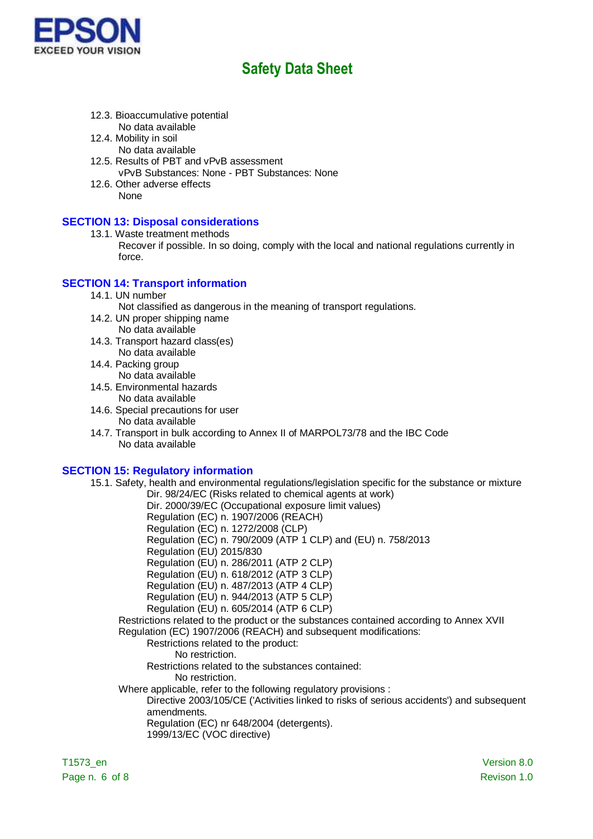

- 12.3. Bioaccumulative potential No data available
- 12.4. Mobility in soil
	- No data available
- 12.5. Results of PBT and vPvB assessment vPvB Substances: None - PBT Substances: None
- 12.6. Other adverse effects None

# **SECTION 13: Disposal considerations**

- 13.1. Waste treatment methods
	- Recover if possible. In so doing, comply with the local and national regulations currently in force.

# **SECTION 14: Transport information**

14.1. UN number

Not classified as dangerous in the meaning of transport regulations.

- 14.2. UN proper shipping name No data available
- 14.3. Transport hazard class(es) No data available
- 14.4. Packing group No data available
- 14.5. Environmental hazards No data available
- 14.6. Special precautions for user
	- No data available
- 14.7. Transport in bulk according to Annex II of MARPOL73/78 and the IBC Code No data available

### **SECTION 15: Regulatory information**

15.1. Safety, health and environmental regulations/legislation specific for the substance or mixture Dir. 98/24/EC (Risks related to chemical agents at work)

Dir. 2000/39/EC (Occupational exposure limit values)

Regulation (EC) n. 1907/2006 (REACH)

Regulation (EC) n. 1272/2008 (CLP)

- Regulation (EC) n. 790/2009 (ATP 1 CLP) and (EU) n. 758/2013
- Regulation (EU) 2015/830
- Regulation (EU) n. 286/2011 (ATP 2 CLP)

Regulation (EU) n. 618/2012 (ATP 3 CLP)

Regulation (EU) n. 487/2013 (ATP 4 CLP)

- Regulation (EU) n. 944/2013 (ATP 5 CLP)
- Regulation (EU) n. 605/2014 (ATP 6 CLP)

Restrictions related to the product or the substances contained according to Annex XVII Regulation (EC) 1907/2006 (REACH) and subsequent modifications:

#### Restrictions related to the product:

No restriction.

Restrictions related to the substances contained:

- No restriction.
- Where applicable, refer to the following regulatory provisions :

Directive 2003/105/CE ('Activities linked to risks of serious accidents') and subsequent amendments.

Regulation (EC) nr 648/2004 (detergents).

1999/13/EC (VOC directive)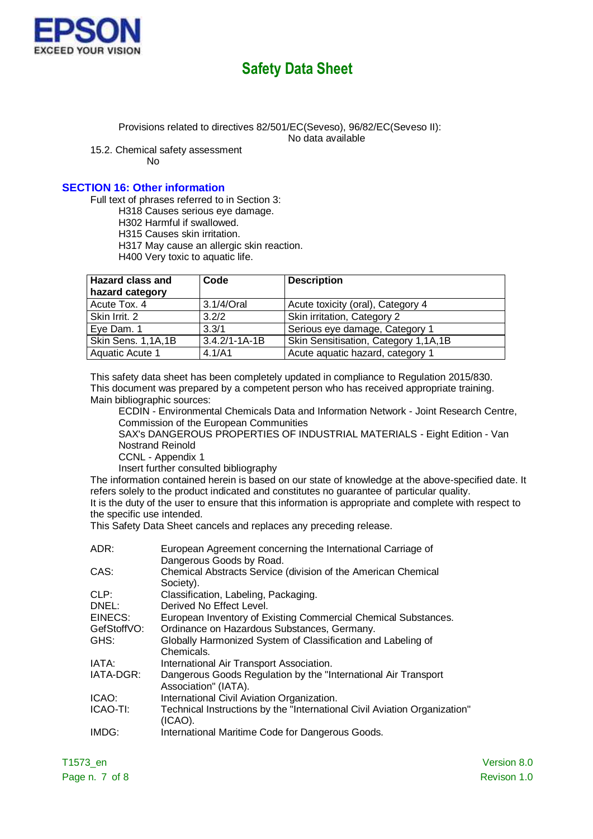

Provisions related to directives 82/501/EC(Seveso), 96/82/EC(Seveso II):

No data available

15.2. Chemical safety assessment

No

## **SECTION 16: Other information**

Full text of phrases referred to in Section 3:

H318 Causes serious eye damage.

H302 Harmful if swallowed.

H315 Causes skin irritation.

H317 May cause an allergic skin reaction.

H400 Very toxic to aquatic life.

| <b>Hazard class and</b> | Code                | <b>Description</b>                   |
|-------------------------|---------------------|--------------------------------------|
| hazard category         |                     |                                      |
| Acute Tox. 4            | 3.1/4/Oral          | Acute toxicity (oral), Category 4    |
| Skin Irrit. 2           | 3.2/2               | Skin irritation, Category 2          |
| Eye Dam. 1              | 3.3/1               | Serious eye damage, Category 1       |
| Skin Sens. 1,1A,1B      | $3.4.2/1 - 1A - 1B$ | Skin Sensitisation, Category 1,1A,1B |
| Aquatic Acute 1         | 4.1/A1              | Acute aquatic hazard, category 1     |

This safety data sheet has been completely updated in compliance to Regulation 2015/830. This document was prepared by a competent person who has received appropriate training. Main bibliographic sources:

ECDIN - Environmental Chemicals Data and Information Network - Joint Research Centre, Commission of the European Communities

SAX's DANGEROUS PROPERTIES OF INDUSTRIAL MATERIALS - Eight Edition - Van Nostrand Reinold

CCNL - Appendix 1

Insert further consulted bibliography

The information contained herein is based on our state of knowledge at the above-specified date. It refers solely to the product indicated and constitutes no guarantee of particular quality. It is the duty of the user to ensure that this information is appropriate and complete with respect to the specific use intended.

This Safety Data Sheet cancels and replaces any preceding release.

| ADR:        | European Agreement concerning the International Carriage of<br>Dangerous Goods by Road. |
|-------------|-----------------------------------------------------------------------------------------|
| CAS:        | Chemical Abstracts Service (division of the American Chemical<br>Society).              |
| CLP:        | Classification, Labeling, Packaging.                                                    |
| DNEL:       | Derived No Effect Level.                                                                |
| EINECS:     | European Inventory of Existing Commercial Chemical Substances.                          |
| GefStoffVO: | Ordinance on Hazardous Substances, Germany.                                             |
| GHS:        | Globally Harmonized System of Classification and Labeling of<br>Chemicals.              |
| IATA:       | International Air Transport Association.                                                |
| IATA-DGR:   | Dangerous Goods Regulation by the "International Air Transport<br>Association" (IATA).  |
| ICAO:       | International Civil Aviation Organization.                                              |
| ICAO-TI:    | Technical Instructions by the "International Civil Aviation Organization"<br>(ICAO).    |
| IMDG:       | International Maritime Code for Dangerous Goods.                                        |